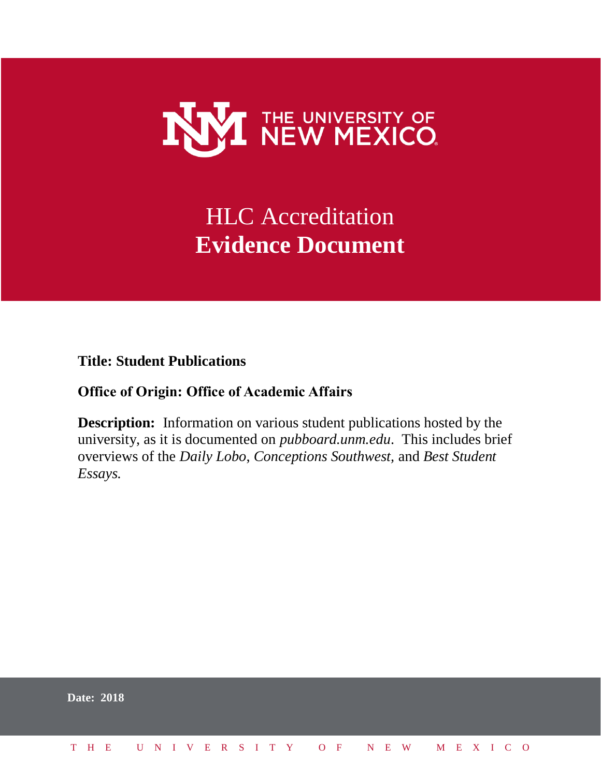

## HLC Accreditation **Evidence Document**

**Title: Student Publications**

## **Office of Origin: Office of Academic Affairs**

**Description:** Information on various student publications hosted by the university, as it is documented on *pubboard.unm.edu*. This includes brief overviews of the *Daily Lobo*, *Conceptions Southwest,* and *Best Student Essays.* 

|  | <b>Date: 2018</b>            |  |  |  |  |  |  |  |  |  |  |  |  |  |
|--|------------------------------|--|--|--|--|--|--|--|--|--|--|--|--|--|
|  | THE UNIVERSITY OF NEW MEXICO |  |  |  |  |  |  |  |  |  |  |  |  |  |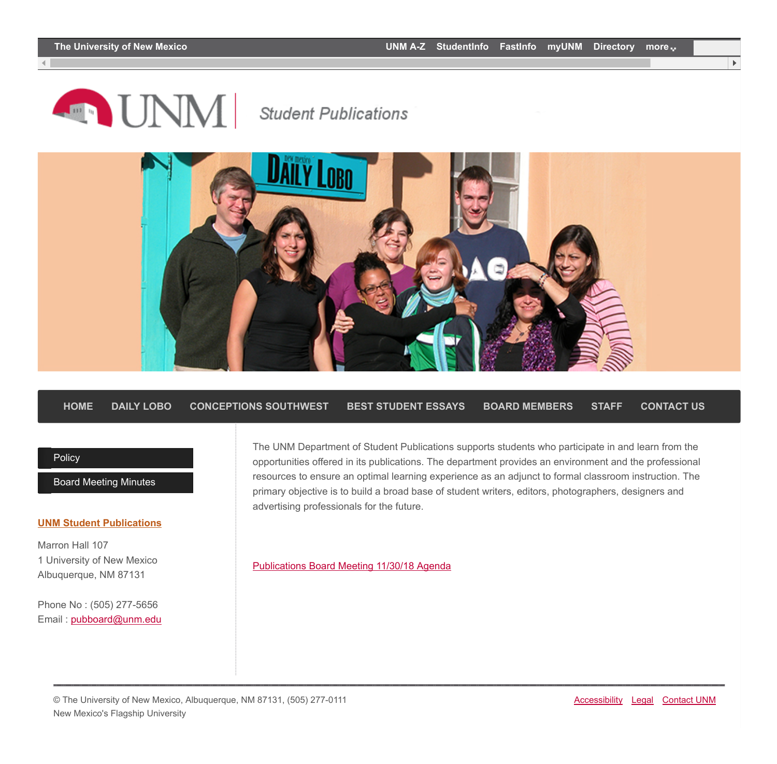**AND UNMI** 

## **Student Publications**



**[HOME](http://pubboard.unm.edu/) [DAILY LOBO](http://pubboard.unm.edu/daily-lobo/) [CONCEPTIONS SOUTHWEST](http://pubboard.unm.edu/conception-southwest/) [BEST STUDENT ESSAYS](http://pubboard.unm.edu/best-student-essays/) [BOARD MEMBERS](http://pubboard.unm.edu/board-members/) [STAFF](http://pubboard.unm.edu/staff/) [CONTACT US](http://pubboard.unm.edu/contact-us/)**

## [Policy](http://pubboard.unm.edu/policy/)

[Board Meeting Minutes](http://pubboard.unm.edu/board-meeting-minutes/)

#### **[UNM Student Publications](http://pubboard.unm.edu/)**

Marron Hall 107 1 University of New Mexico Albuquerque, NM 87131

Phone No : (505) 277-5656 Email : [pubboard@unm.edu](mailto:pubboard@unm.edu) The UNM Department of Student Publications supports students who participate in and learn from the opportunities offered in its publications. The department provides an environment and the professional resources to ensure an optimal learning experience as an adjunct to formal classroom instruction. The primary objective is to build a broad base of student writers, editors, photographers, designers and advertising professionals for the future.

[Publications Board Meeting 11/30/18 Agenda](http://pubboard.unm.edu/Pub%20Board%20Agenda%2011.30.18.pdf)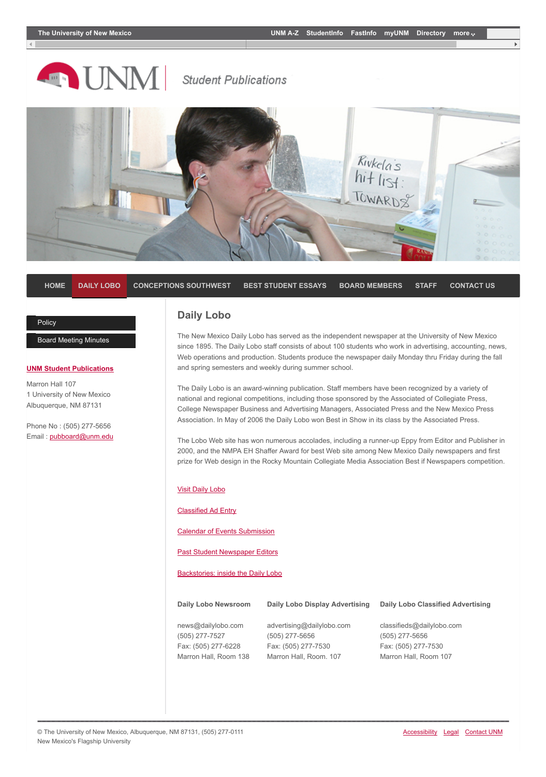

**Student Publications** 



**[HOME](http://pubboard.unm.edu/) [DAILY LOBO](http://pubboard.unm.edu/daily-lobo/) [CONCEPTIONS SOUTHWEST](http://pubboard.unm.edu/conception-southwest/) [BEST STUDENT ESSAYS](http://pubboard.unm.edu/best-student-essays/) [BOARD MEMBERS](http://pubboard.unm.edu/board-members/) [STAFF](http://pubboard.unm.edu/staff/) [CONTACT US](http://pubboard.unm.edu/contact-us/)**

## **[Policy](http://pubboard.unm.edu/policy/)**

[Board Meeting Minutes](http://pubboard.unm.edu/board-meeting-minutes/)

## **[UNM Student Publications](http://pubboard.unm.edu/)**

Marron Hall 107 1 University of New Mexico Albuquerque, NM 87131

Phone No : (505) 277-5656 Email : [pubboard@unm.edu](mailto:pubboard@unm.edu)

## **Daily Lobo**

The New Mexico Daily Lobo has served as the independent newspaper at the University of New Mexico since 1895. The Daily Lobo staff consists of about 100 students who work in advertising, accounting, news, Web operations and production. Students produce the newspaper daily Monday thru Friday during the fall and spring semesters and weekly during summer school.

The Daily Lobo is an award-winning publication. Staff members have been recognized by a variety of national and regional competitions, including those sponsored by the Associated of Collegiate Press, College Newspaper Business and Advertising Managers, Associated Press and the New Mexico Press Association. In May of 2006 the Daily Lobo won Best in Show in its class by the Associated Press.

The Lobo Web site has won numerous accolades, including a runner-up Eppy from Editor and Publisher in 2000, and the NMPA EH Shaffer Award for best Web site among New Mexico Daily newspapers and first prize for Web design in the Rocky Mountain Collegiate Media Association Best if Newspapers competition.

## [Visit Daily Lobo](http://www.dailylobo.com/)

[Classified Ad Entry](https://host5.eclipseservices.com/lobo/online/entry/start.do?refresh=true)

[Calendar of Events Submission](http://www.dailylobo.com/calendar/)

[Past Student Newspaper Editors](http://pubboard.unm.edu/daily-lobo/Stu%20Pubs%20Editors.pdf)

[Backstories: inside the Daily Lobo](https://www.youtube.com/watch?v=Y1iXLS-Gt3Y)

| Daily Lobo Newsroom   | Daily Lobo Display Advertising | <b>Daily Lobo Classified Advertising</b> |
|-----------------------|--------------------------------|------------------------------------------|
| news@dailylobo.com    | advertising@dailylobo.com      | classifieds@dailylobo.com                |
| (505) 277-7527        | (505) 277-5656                 | (505) 277-5656                           |
| Fax: (505) 277-6228   | Fax: (505) 277-7530            | Fax: (505) 277-7530                      |
| Marron Hall, Room 138 | Marron Hall, Room. 107         | Marron Hall, Room 107                    |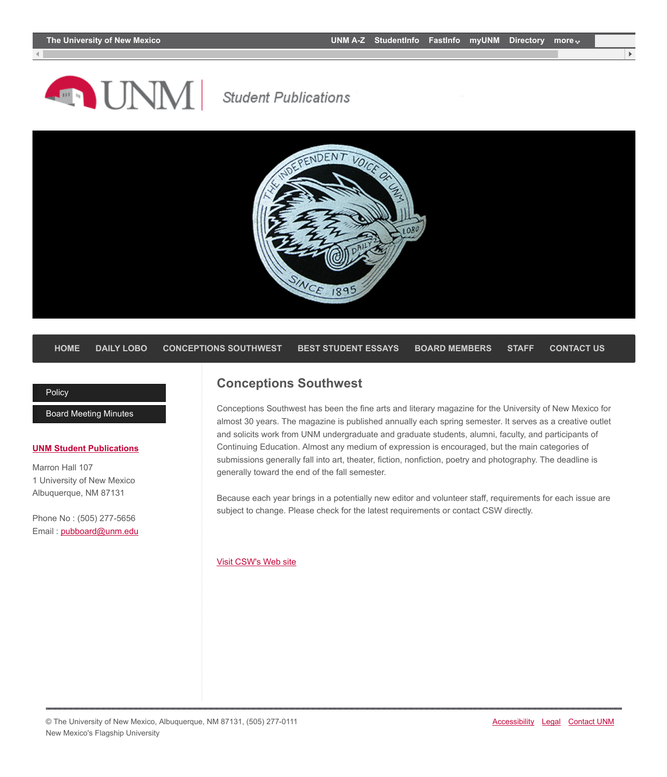## **AND UNMI**

## **Student Publications**



## **[HOME](http://pubboard.unm.edu/) [DAILY LOBO](http://pubboard.unm.edu/daily-lobo/) [CONCEPTIONS SOUTHWEST](http://pubboard.unm.edu/conception-southwest/) [BEST STUDENT ESSAYS](http://pubboard.unm.edu/best-student-essays/) [BOARD MEMBERS](http://pubboard.unm.edu/board-members/) [STAFF](http://pubboard.unm.edu/staff/) [CONTACT US](http://pubboard.unm.edu/contact-us/)**

## **[Policy](http://pubboard.unm.edu/policy/)**

[Board Meeting Minutes](http://pubboard.unm.edu/board-meeting-minutes/)

## **[UNM Student Publications](http://pubboard.unm.edu/)**

Marron Hall 107 1 University of New Mexico Albuquerque, NM 87131

Phone No : (505) 277-5656 Email : [pubboard@unm.edu](mailto:pubboard@unm.edu)

## **Conceptions Southwest**

Conceptions Southwest has been the fine arts and literary magazine for the University of New Mexico for almost 30 years. The magazine is published annually each spring semester. It serves as a creative outlet and solicits work from UNM undergraduate and graduate students, alumni, faculty, and participants of Continuing Education. Almost any medium of expression is encouraged, but the main categories of submissions generally fall into art, theater, fiction, nonfiction, poetry and photography. The deadline is generally toward the end of the fall semester.

Because each year brings in a potentially new editor and volunteer staff, requirements for each issue are subject to change. Please check for the latest requirements or contact CSW directly.

### [Visit CSW's Web site](https://csw.unm.edu/)